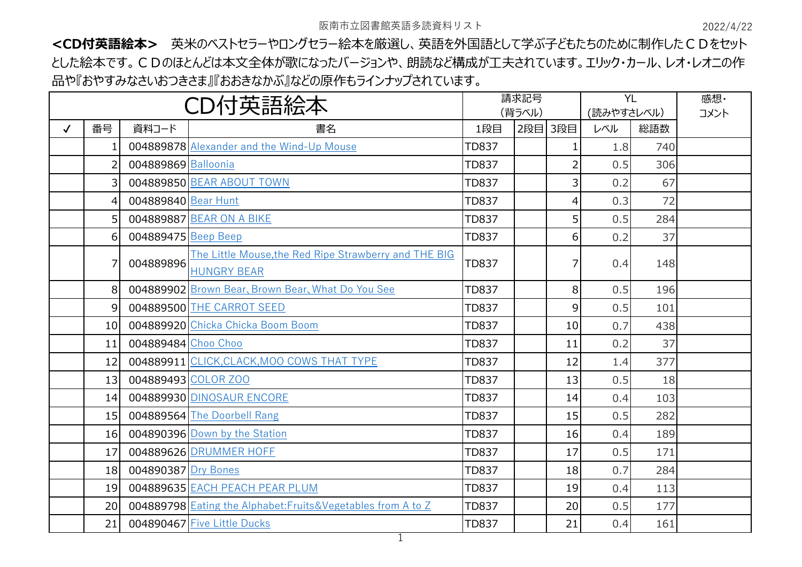阪南市立図書館英語多読資料リスト 2022/4/22

**<CD付英語絵本>** 英米のベストセラーやロングセラー絵本を厳選し、英語を外国語として学ぶ子どもたちのために制作したCDをセット とした絵本です。CDのほとんどは本文全体が歌になったバージョンや、朗読など構成が工夫されています。エリック・カール、レオ・レオニの作 品や『おやすみなさいおつきさま』『おおきなかぶ』などの原作もラインナップされています。

| CD付英語絵本      |           |                     | 請求記号                                                          |              | <b>YL</b> |                | 感想· |      |  |
|--------------|-----------|---------------------|---------------------------------------------------------------|--------------|-----------|----------------|-----|------|--|
|              |           |                     |                                                               | (背ラベル)       |           | (読みやすさレベル)     |     | コメント |  |
| $\checkmark$ | 番号        | 資料コード               | 書名                                                            | 1段目          | 2段目       | 3段目            | レベル | 総語数  |  |
|              |           |                     | 004889878 Alexander and the Wind-Up Mouse                     | <b>TD837</b> |           |                | 1.8 | 740  |  |
|              | 2         | 004889869 Balloonia |                                                               | <b>TD837</b> |           | $\overline{2}$ | 0.5 | 306  |  |
|              | 3         |                     | 004889850 BEAR ABOUT TOWN                                     | <b>TD837</b> |           | 3              | 0.2 | 67   |  |
|              | 4         | 004889840 Bear Hunt |                                                               | <b>TD837</b> |           | 4              | 0.3 | 72   |  |
|              | 5         |                     | 004889887 BEAR ON A BIKE                                      | <b>TD837</b> |           | 5              | 0.5 | 284  |  |
|              | 6         | 004889475 Beep Beep |                                                               | <b>TD837</b> |           | 6              | 0.2 | 37   |  |
|              | 7         |                     | The Little Mouse, the Red Ripe Strawberry and THE BIG         | <b>TD837</b> |           | 7              | 0.4 | 148  |  |
|              | 004889896 | <b>HUNGRY BEAR</b>  |                                                               |              |           |                |     |      |  |
|              | 8         |                     | 004889902 Brown Bear, Brown Bear, What Do You See             | <b>TD837</b> |           | 8              | 0.5 | 196  |  |
|              | 9         |                     | 004889500 THE CARROT SEED                                     | <b>TD837</b> |           | 9              | 0.5 | 101  |  |
|              | 10        |                     | 004889920 Chicka Chicka Boom Boom                             | <b>TD837</b> |           | 10             | 0.7 | 438  |  |
|              | 11        | 004889484 Choo Choo |                                                               | <b>TD837</b> |           | 11             | 0.2 | 37   |  |
|              | 12        |                     | 004889911 CLICK, CLACK, MOO COWS THAT TYPE                    | <b>TD837</b> |           | 12             | 1.4 | 377  |  |
|              | 13        |                     | 004889493 COLOR ZOO                                           | <b>TD837</b> |           | 13             | 0.5 | 18   |  |
|              | 14        |                     | 004889930 DINOSAUR ENCORE                                     | <b>TD837</b> |           | 14             | 0.4 | 103  |  |
|              | 15        |                     | 004889564 The Doorbell Rang                                   | <b>TD837</b> |           | 15             | 0.5 | 282  |  |
|              | 16        |                     | 004890396 Down by the Station                                 | <b>TD837</b> |           | 16             | 0.4 | 189  |  |
|              | 17        |                     | 004889626 DRUMMER HOFF                                        | <b>TD837</b> |           | 17             | 0.5 | 171  |  |
|              | 18        | 004890387 Dry Bones |                                                               | <b>TD837</b> |           | 18             | 0.7 | 284  |  |
|              | 19        |                     | 004889635 EACH PEACH PEAR PLUM                                | <b>TD837</b> |           | 19             | 0.4 | 113  |  |
|              | 20        |                     | 004889798 Eating the Alphabet: Fruits& Vegetables from A to Z | <b>TD837</b> |           | 20             | 0.5 | 177  |  |
|              | 21        |                     | 004890467 Five Little Ducks                                   | <b>TD837</b> |           | 21             | 0.4 | 161  |  |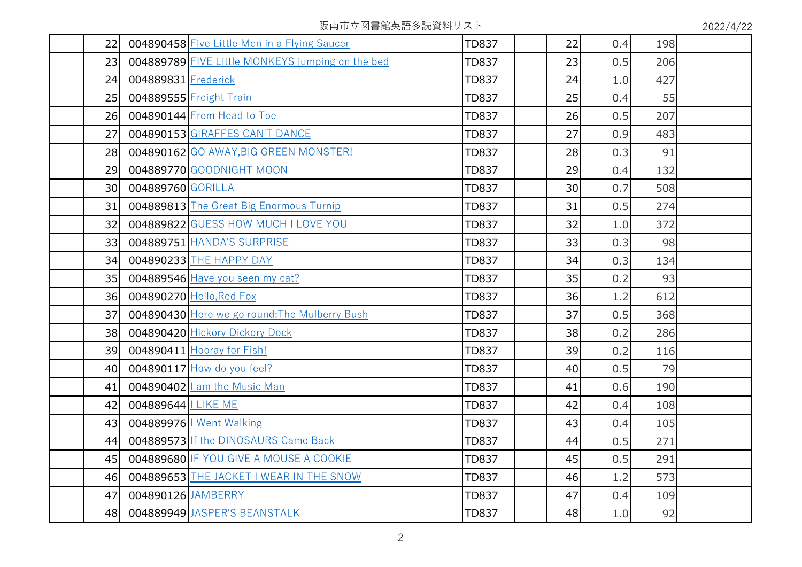阪南市立図書館英語多読資料リスト 2022/4/22

| 22              |                     | 004890458 Five Little Men in a Flying Saucer     | <b>TD837</b> | 22 | 0.4 | 198 |  |
|-----------------|---------------------|--------------------------------------------------|--------------|----|-----|-----|--|
| 23              |                     | 004889789 FIVE Little MONKEYS jumping on the bed | <b>TD837</b> | 23 | 0.5 | 206 |  |
| 24              | 004889831 Frederick |                                                  | <b>TD837</b> | 24 | 1.0 | 427 |  |
| 25              |                     | 004889555 Freight Train                          | <b>TD837</b> | 25 | 0.4 | 55  |  |
| 26              |                     | 004890144 From Head to Toe                       | <b>TD837</b> | 26 | 0.5 | 207 |  |
| 27              |                     | 004890153 GIRAFFES CAN'T DANCE                   | <b>TD837</b> | 27 | 0.9 | 483 |  |
| 28              |                     | 004890162 GO AWAY, BIG GREEN MONSTER!            | <b>TD837</b> | 28 | 0.3 | 91  |  |
| 29              |                     | 004889770 GOODNIGHT MOON                         | <b>TD837</b> | 29 | 0.4 | 132 |  |
| 30 <sup>°</sup> | 004889760 GORILLA   |                                                  | <b>TD837</b> | 30 | 0.7 | 508 |  |
| 31              |                     | 004889813 The Great Big Enormous Turnip          | <b>TD837</b> | 31 | 0.5 | 274 |  |
| 32              |                     | 004889822 GUESS HOW MUCH I LOVE YOU              | <b>TD837</b> | 32 | 1.0 | 372 |  |
| 33              |                     | 004889751 HANDA'S SURPRISE                       | <b>TD837</b> | 33 | 0.3 | 98  |  |
| 34              |                     | 004890233 THE HAPPY DAY                          | <b>TD837</b> | 34 | 0.3 | 134 |  |
| 35              |                     | 004889546 Have you seen my cat?                  | <b>TD837</b> | 35 | 0.2 | 93  |  |
| 36              |                     | 004890270 Hello, Red Fox                         | <b>TD837</b> | 36 | 1.2 | 612 |  |
| 37              |                     | 004890430 Here we go round: The Mulberry Bush    | <b>TD837</b> | 37 | 0.5 | 368 |  |
| 38 <sup>l</sup> |                     | 004890420 Hickory Dickory Dock                   | <b>TD837</b> | 38 | 0.2 | 286 |  |
| 39              |                     | 004890411 Hooray for Fish!                       | <b>TD837</b> | 39 | 0.2 | 116 |  |
| 40              |                     | 004890117 How do you feel?                       | <b>TD837</b> | 40 | 0.5 | 79  |  |
| 41              |                     | 004890402   am the Music Man                     | <b>TD837</b> | 41 | 0.6 | 190 |  |
| 42              | 004889644 LIKE ME   |                                                  | <b>TD837</b> | 42 | 0.4 | 108 |  |
| 43              |                     | 004889976   Went Walking                         | <b>TD837</b> | 43 | 0.4 | 105 |  |
| 44              |                     | 004889573 If the DINOSAURS Came Back             | <b>TD837</b> | 44 | 0.5 | 271 |  |
| 45              |                     | 004889680 IF YOU GIVE A MOUSE A COOKIE           | <b>TD837</b> | 45 | 0.5 | 291 |  |
| 46              |                     | 004889653 THE JACKET I WEAR IN THE SNOW          | <b>TD837</b> | 46 | 1.2 | 573 |  |
| 47              | 004890126 JAMBERRY  |                                                  | <b>TD837</b> | 47 | 0.4 | 109 |  |
| 48              |                     | 004889949 JASPER'S BEANSTALK                     | <b>TD837</b> | 48 | 1.0 | 92  |  |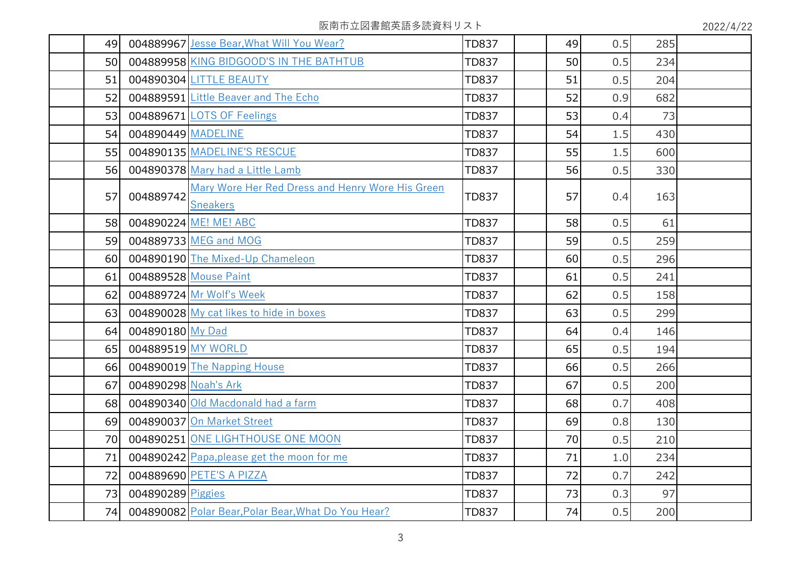阪南市立図書館英語多読資料リスト 2022/4/22

| 49 |                      | 004889967 Jesse Bear, What Will You Wear?                           | <b>TD837</b> | 49 | 0.5 | 285 |  |
|----|----------------------|---------------------------------------------------------------------|--------------|----|-----|-----|--|
| 50 |                      | 004889958 KING BIDGOOD'S IN THE BATHTUB                             | <b>TD837</b> | 50 | 0.5 | 234 |  |
| 51 |                      | 004890304 LITTLE BEAUTY                                             | <b>TD837</b> | 51 | 0.5 | 204 |  |
| 52 |                      | 004889591 Little Beaver and The Echo                                | <b>TD837</b> | 52 | 0.9 | 682 |  |
| 53 |                      | 004889671 LOTS OF Feelings                                          | <b>TD837</b> | 53 | 0.4 | 73  |  |
| 54 | 004890449 MADELINE   |                                                                     | <b>TD837</b> | 54 | 1.5 | 430 |  |
| 55 |                      | 004890135 MADELINE'S RESCUE                                         | <b>TD837</b> | 55 | 1.5 | 600 |  |
| 56 |                      | 004890378 Mary had a Little Lamb                                    | <b>TD837</b> | 56 | 0.5 | 330 |  |
| 57 | 004889742            | Mary Wore Her Red Dress and Henry Wore His Green<br><b>Sneakers</b> | <b>TD837</b> | 57 | 0.4 | 163 |  |
| 58 |                      | 004890224 ME! ME! ABC                                               | <b>TD837</b> | 58 | 0.5 | 61  |  |
| 59 |                      | 004889733 MEG and MOG                                               | <b>TD837</b> | 59 | 0.5 | 259 |  |
| 60 |                      | 004890190 The Mixed-Up Chameleon                                    | <b>TD837</b> | 60 | 0.5 | 296 |  |
| 61 |                      | 004889528 Mouse Paint                                               | <b>TD837</b> | 61 | 0.5 | 241 |  |
| 62 |                      | 004889724 Mr Wolf's Week                                            | <b>TD837</b> | 62 | 0.5 | 158 |  |
| 63 |                      | 004890028 My cat likes to hide in boxes                             | <b>TD837</b> | 63 | 0.5 | 299 |  |
| 64 | 004890180 My Dad     |                                                                     | <b>TD837</b> | 64 | 0.4 | 146 |  |
| 65 |                      | 004889519 MY WORLD                                                  | <b>TD837</b> | 65 | 0.5 | 194 |  |
| 66 |                      | 004890019 The Napping House                                         | <b>TD837</b> | 66 | 0.5 | 266 |  |
| 67 | 004890298 Noah's Ark |                                                                     | <b>TD837</b> | 67 | 0.5 | 200 |  |
| 68 |                      | 004890340 Old Macdonald had a farm                                  | <b>TD837</b> | 68 | 0.7 | 408 |  |
| 69 |                      | 004890037 On Market Street                                          | <b>TD837</b> | 69 | 0.8 | 130 |  |
| 70 |                      | 004890251 ONE LIGHTHOUSE ONE MOON                                   | <b>TD837</b> | 70 | 0.5 | 210 |  |
| 71 |                      | 004890242 Papa, please get the moon for me                          | <b>TD837</b> | 71 | 1.0 | 234 |  |
| 72 |                      | 004889690 PETE'S A PIZZA                                            | <b>TD837</b> | 72 | 0.7 | 242 |  |
| 73 | 004890289 Piggies    |                                                                     | <b>TD837</b> | 73 | 0.3 | 97  |  |
| 74 |                      | 004890082 Polar Bear, Polar Bear, What Do You Hear?                 | <b>TD837</b> | 74 | 0.5 | 200 |  |